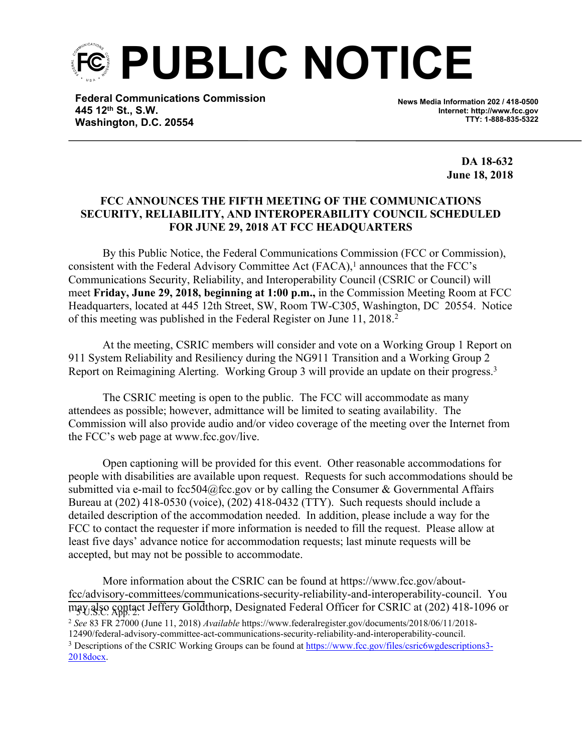**PUBLIC NOTICE**

**Federal Communications Commission 445 12th St., S.W. Washington, D.C. 20554**

**News Media Information 202 / 418-0500 Internet: http://www.fcc.gov TTY: 1-888-835-5322**

> **DA 18-632 June 18, 2018**

## **FCC ANNOUNCES THE FIFTH MEETING OF THE COMMUNICATIONS SECURITY, RELIABILITY, AND INTEROPERABILITY COUNCIL SCHEDULED FOR JUNE 29, 2018 AT FCC HEADQUARTERS**

By this Public Notice, the Federal Communications Commission (FCC or Commission), consistent with the Federal Advisory Committee Act  $(FACA)$ ,<sup>1</sup> announces that the FCC's Communications Security, Reliability, and Interoperability Council (CSRIC or Council) will meet **Friday, June 29, 2018, beginning at 1:00 p.m.,** in the Commission Meeting Room at FCC Headquarters, located at 445 12th Street, SW, Room TW-C305, Washington, DC 20554. Notice of this meeting was published in the Federal Register on June 11, 2018.<sup>2</sup>

At the meeting, CSRIC members will consider and vote on a Working Group 1 Report on 911 System Reliability and Resiliency during the NG911 Transition and a Working Group 2 Report on Reimagining Alerting. Working Group 3 will provide an update on their progress.<sup>3</sup>

The CSRIC meeting is open to the public. The FCC will accommodate as many attendees as possible; however, admittance will be limited to seating availability. The Commission will also provide audio and/or video coverage of the meeting over the Internet from the FCC's web page at www.fcc.gov/live.

Open captioning will be provided for this event. Other reasonable accommodations for people with disabilities are available upon request. Requests for such accommodations should be submitted via e-mail to fcc504@fcc.gov or by calling the Consumer & Governmental Affairs Bureau at (202) 418-0530 (voice), (202) 418-0432 (TTY). Such requests should include a detailed description of the accommodation needed. In addition, please include a way for the FCC to contact the requester if more information is needed to fill the request. Please allow at least five days' advance notice for accommodation requests; last minute requests will be accepted, but may not be possible to accommodate.

More information about the CSRIC can be found at https://www.fcc.gov/aboutfcc/advisory-committees/communications-security-reliability-and-interoperability-council. You may also contact Jeffery Goldthorp, Designated Federal Officer for CSRIC at (202) 418-1096 or <sup>2</sup> *See* 83 FR 27000 (June 11, 2018) *Available* https://www.federalregister.gov/documents/2018/06/11/2018- 12490/federal-advisory-committee-act-communications-security-reliability-and-interoperability-council. <sup>3</sup> Descriptions of the CSRIC Working Groups can be found at [https://www.fcc.gov/files/csric6wgdescriptions3-](https://www.fcc.gov/files/csric6wgdescriptions3-2018docx) [2018docx](https://www.fcc.gov/files/csric6wgdescriptions3-2018docx).